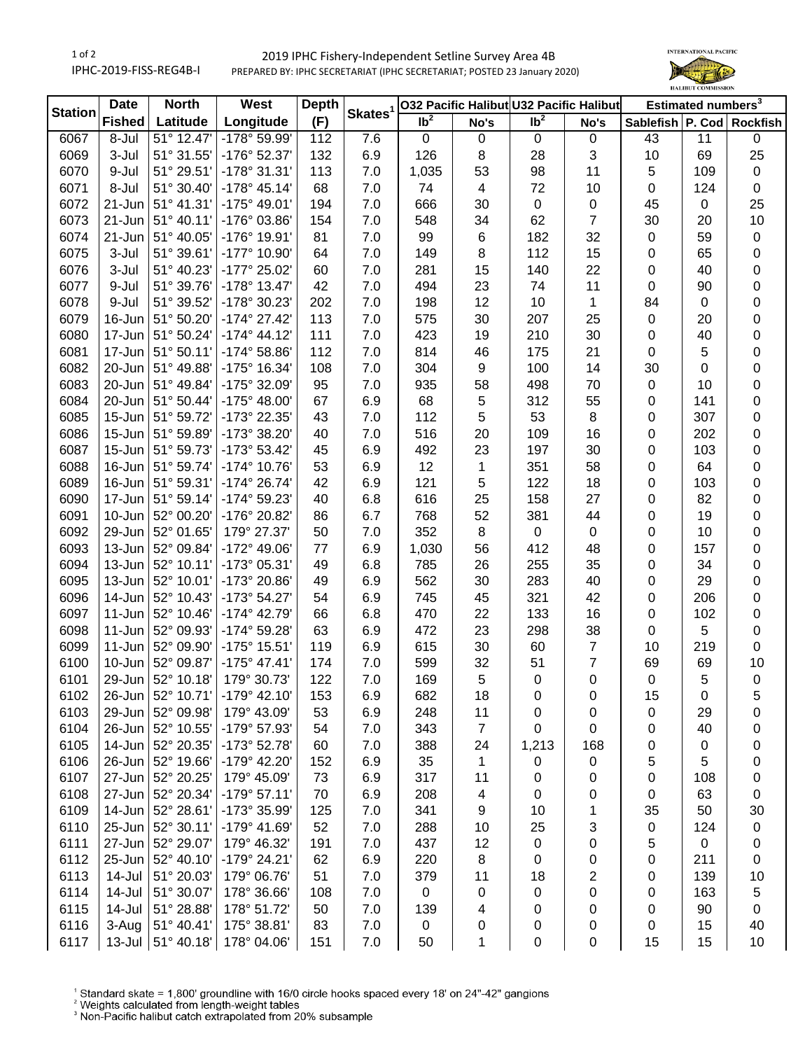## 1 of 2 IPHC-2019-FISS-REG4B-I 2019 IPHC Fishery-Independent Setline Survey Area 4B PREPARED BY: IPHC SECRETARIAT (IPHC SECRETARIAT; POSTED 23 January 2020)



| <b>Station</b> | <b>Date</b>   | <b>North</b>         | West                  | <b>Depth</b> | Skates <sup>1</sup> |                   |                | 032 Pacific Halibut U32 Pacific Halibut |                | Estimated numbers <sup>3</sup> |             |                           |
|----------------|---------------|----------------------|-----------------------|--------------|---------------------|-------------------|----------------|-----------------------------------------|----------------|--------------------------------|-------------|---------------------------|
|                | <b>Fished</b> | Latitude             | Longitude             | (F)          |                     | $\overline{1}b^2$ | No's           | $\overline{1}b^2$                       | No's           |                                |             | Sablefish P. Cod Rockfish |
| 6067           | 8-Jul         | 51° 12.47'           | -178° 59.99'          | 112          | 7.6                 | $\mathbf 0$       | 0              | $\mathbf 0$                             | 0              | 43                             | 11          | $\pmb{0}$                 |
| 6069           | 3-Jul         | 51° 31.55'           | -176° 52.37'          | 132          | 6.9                 | 126               | 8              | 28                                      | 3              | 10                             | 69          | 25                        |
| 6070           | 9-Jul         | 51° 29.51'           | $-178°31.31'$         | 113          | 7.0                 | 1,035             | 53             | 98                                      | 11             | $\overline{5}$                 | 109         | $\mathbf 0$               |
| 6071           | 8-Jul         | 51° 30.40'           | $-178°$ 45.14'        | 68           | 7.0                 | 74                | 4              | 72                                      | 10             | $\pmb{0}$                      | 124         | $\mathbf 0$               |
| 6072           | 21-Jun        | 51° 41.31'           | $-175^{\circ}$ 49.01' | 194          | 7.0                 | 666               | 30             | $\mathbf 0$                             | 0              | 45                             | $\mathbf 0$ | 25                        |
| 6073           | $21 - Jun$    | 51° 40.11'           | -176° 03.86'          | 154          | 7.0                 | 548               | 34             | 62                                      | $\overline{7}$ | 30                             | 20          | 10                        |
| 6074           | $21 - Jun$    | 51° 40.05'           | -176° 19.91'          | 81           | 7.0                 | 99                | 6              | 182                                     | 32             | $\mathbf 0$                    | 59          | $\pmb{0}$                 |
| 6075           | 3-Jul         | 51° 39.61'           | -177° 10.90'          | 64           | 7.0                 | 149               | 8              | 112                                     | 15             | 0                              | 65          | 0                         |
| 6076           | 3-Jul         | 51° 40.23'           | -177° 25.02'          | 60           | 7.0                 | 281               | 15             | 140                                     | 22             | 0                              | 40          | 0                         |
| 6077           | 9-Jul         | 51° 39.76'           | $-178°$ 13.47         | 42           | 7.0                 | 494               | 23             | 74                                      | 11             | $\pmb{0}$                      | 90          | 0                         |
| 6078           | 9-Jul         | 51° 39.52'           | -178° 30.23'          | 202          | 7.0                 | 198               | 12             | 10                                      | $\mathbf{1}$   | 84                             | 0           | 0                         |
| 6079           | 16-Jun        | 51° 50.20'           | $-174^{\circ}$ 27.42  | 113          | 7.0                 | 575               | 30             | 207                                     | 25             | $\pmb{0}$                      | 20          | 0                         |
| 6080           | 17-Jun        | 51° 50.24'           | $-174^{\circ}$ 44.12  | 111          | 7.0                 | 423               | 19             | 210                                     | 30             | $\pmb{0}$                      | 40          | 0                         |
| 6081           | 17-Jun        | 51° 50.11'           | $-174^{\circ} 58.86'$ | 112          | 7.0                 | 814               | 46             | 175                                     | 21             | $\mathbf 0$                    | 5           | 0                         |
| 6082           | 20-Jun        | 51° 49.88'           | -175° 16.34'          | 108          | 7.0                 | 304               | 9              | 100                                     | 14             | 30                             | 0           | 0                         |
| 6083           | 20-Jun        | 51° 49.84'           | -175° 32.09'          | 95           | 7.0                 | 935               | 58             | 498                                     | 70             | $\mathbf 0$                    | 10          | 0                         |
| 6084           | $20$ -Jun     | 51° 50.44'           | $-175^{\circ}$ 48.00  | 67           | 6.9                 | 68                | 5              | 312                                     | 55             | 0                              | 141         | 0                         |
| 6085           | $15$ -Jun     | 51° 59.72'           | -173° 22.35'          | 43           | 7.0                 | 112               | 5              | 53                                      | 8              | 0                              | 307         | 0                         |
| 6086           | $15$ -Jun     | 51° 59.89'           | -173° 38.20'          | 40           | 7.0                 | 516               | 20             | 109                                     | 16             | 0                              | 202         | 0                         |
| 6087           | $15$ -Jun     | 51° 59.73'           | -173° 53.42'          | 45           | 6.9                 | 492               | 23             | 197                                     | 30             | 0                              | 103         | 0                         |
| 6088           | $16$ -Jun     | 51° 59.74'           | -174° 10.76'          | 53           | 6.9                 | 12                | 1              | 351                                     | 58             | 0                              | 64          | 0                         |
| 6089           | $16$ -Jun     | 51° 59.31'           | $-174^{\circ} 26.74'$ | 42           | 6.9                 | 121               | 5              | 122                                     | 18             | 0                              | 103         | 0                         |
| 6090           | $17 - Jun$    | 51° 59.14'           | -174° 59.23'          | 40           | 6.8                 | 616               | 25             | 158                                     | 27             | 0                              | 82          | 0                         |
| 6091           | $10$ -Jun     | 52° 00.20'           | -176° 20.82'          | 86           | 6.7                 | 768               | 52             | 381                                     | 44             | 0                              | 19          | 0                         |
| 6092           | $29$ -Jun     | 52° 01.65'           | 179° 27.37'           | 50           | 7.0                 | 352               | 8              | $\mathbf 0$                             | $\mathbf 0$    | 0                              | 10          | 0                         |
| 6093           | $13$ -Jun     | 52° 09.84'           | -172° 49.06'          | 77           | 6.9                 | 1,030             | 56             | 412                                     | 48             | 0                              | 157         | 0                         |
| 6094           | $13$ -Jun     | 52° 10.11'           | -173° 05.31'          | 49           | 6.8                 | 785               | 26             | 255                                     | 35             | 0                              | 34          | 0                         |
| 6095           | $13$ -Jun     | 52° 10.01'           | -173° 20.86'          | 49           | 6.9                 | 562               | 30             | 283                                     | 40             | $\pmb{0}$                      | 29          | 0                         |
| 6096           | $14$ -Jun     | 52° 10.43'           | -173° 54.27'          | 54           | 6.9                 | 745               | 45             | 321                                     | 42             | $\pmb{0}$                      | 206         | 0                         |
| 6097           | $11$ -Jun     | 52° 10.46'           | -174° 42.79'          | 66           | 6.8                 | 470               | 22             | 133                                     | 16             | $\pmb{0}$                      | 102         | $\pmb{0}$                 |
| 6098           | $11-Jun$      | 52° 09.93'           | -174° 59.28'          | 63           | 6.9                 | 472               | 23             | 298                                     | 38             | $\pmb{0}$                      | 5           | $\pmb{0}$                 |
| 6099           | $11-Jun$      | 52° 09.90'           | $-175°$ 15.51         | 119          | 6.9                 | 615               | 30             | 60                                      | $\overline{7}$ | 10                             | 219         | $\pmb{0}$                 |
| 6100           | 10-Jun        | 52° 09.87'           | $-175^{\circ}$ 47.41' | 174          | 7.0                 | 599               | 32             | 51                                      | $\overline{7}$ | 69                             | 69          | 10                        |
| 6101           | 29-Jun        | 52° 10.18'           | 179° 30.73'           | 122          | 7.0                 | 169               | 5              | $\mathbf 0$                             | 0              | $\mathbf 0$                    | 5           | $\pmb{0}$                 |
| 6102           |               | 26-Jun   52° 10.71'  | $-179°$ 42.10         | 153          | 6.9                 | 682               | 18             | 0                                       | 0              | 15                             | 0           | 5                         |
| 6103           | $29$ -Jun     | 52° 09.98'           | 179° 43.09'           | 53           | 6.9                 | 248               | 11             | 0                                       | 0              | 0                              | 29          | 0                         |
| 6104           | $26$ -Jun     | 52° 10.55'           | -179° 57.93'          | 54           | 7.0                 | 343               | $\overline{7}$ | 0                                       | 0              | 0                              | 40          | 0                         |
| 6105           | 14-Jun        | 52° 20.35'           | -173° 52.78'          | 60           | 7.0                 | 388               | 24             | 1,213                                   | 168            | 0                              | 0           | 0                         |
| 6106           | 26-Jun        | 52° 19.66'           | -179° 42.20'          | 152          | 6.9                 | 35                | 1              | 0                                       | 0              | 5                              | 5           | 0                         |
| 6107           | $27 - Jun$    | 52° 20.25'           | 179° 45.09'           | 73           | 6.9                 | 317               | 11             | 0                                       | 0              | 0                              | 108         | 0                         |
| 6108           | $27 - Jun$    | 52° 20.34'           | $-179°57.11'$         | 70           | 6.9                 | 208               | 4              | 0                                       | 0              | 0                              | 63          | 0                         |
| 6109           | $14$ -Jun     | 52° 28.61'           | -173° 35.99'          | 125          | 7.0                 | 341               | 9              | 10                                      | 1              | 35                             | 50          | 30                        |
| 6110           | 25-Jun        | 52° 30.11'           | -179° 41.69'          | 52           | 7.0                 | 288               | 10             | 25                                      | 3              | 0                              | 124         | 0                         |
| 6111           | 27-Jun        | 52° 29.07'           | 179° 46.32'           | 191          | 7.0                 | 437               | 12             | 0                                       | 0              | 5                              | $\pmb{0}$   | 0                         |
| 6112           | 25-Jun        | 52° 40.10'           | -179° 24.21'          | 62           | 6.9                 | 220               | 8              | 0                                       | 0              | 0                              | 211         | 0                         |
| 6113           | 14-Jul        | 51° 20.03'           | 179° 06.76'           | 51           | 7.0                 | 379               | 11             | 18                                      | 2              | 0                              | 139         | 10                        |
| 6114           | 14-Jul        | 51° 30.07'           | 178° 36.66'           | 108          | 7.0                 | 0                 | 0              | 0                                       | 0              | 0                              | 163         | 5                         |
| 6115           | 14-Jul        | 51° 28.88            | 178° 51.72'           | 50           | 7.0                 | 139               | 4              | 0                                       | 0              | 0                              | 90          | 0                         |
| 6116           | 3-Aug         | 51° 40.41'           | 175° 38.81'           | 83           | 7.0                 | 0                 | 0              | 0                                       | 0              | 0                              | 15          | 40                        |
| 6117           |               | 13-Jul $ 51° 40.18'$ | 178° 04.06'           | 151          | 7.0                 | 50                | 1              | 0                                       | 0              | 15                             | 15          | 10                        |
|                |               |                      |                       |              |                     |                   |                |                                         |                |                                |             |                           |

<sup>1</sup> Standard skate = 1,800' groundline with 16/0 circle hooks spaced every 18' on 24"-42" gangions <sup>2</sup> Weights calculated from length-weight tables<br><sup>2</sup> Weights calculated from length-weight tables<br><sup>3</sup> Non-Pacific halibut